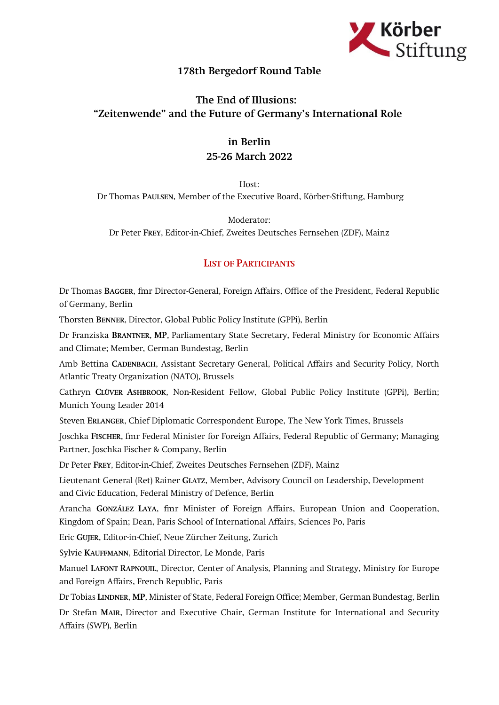

## 178th Bergedorf Round Table

## The End of Illusions: "Zeitenwende" and the Future of Germany's International Role

## in Berlin 25-26 March 2022

Host:

Dr Thomas PAULSEN, Member of the Executive Board, Körber-Stiftung, Hamburg

Moderator: Dr Peter FREY, Editor-in-Chief, Zweites Deutsches Fernsehen (ZDF), Mainz

## LIST OF PARTICIPANTS

Dr Thomas BAGGER, fmr Director-General, Foreign Affairs, Office of the President, Federal Republic of Germany, Berlin

Thorsten BENNER, Director, Global Public Policy Institute (GPPi), Berlin

Dr Franziska BRANTNER, MP, Parliamentary State Secretary, Federal Ministry for Economic Affairs and Climate; Member, German Bundestag, Berlin

Amb Bettina CADENBACH, Assistant Secretary General, Political Affairs and Security Policy, North Atlantic Treaty Organization (NATO), Brussels

Cathryn CLÜVER ASHBROOK, Non-Resident Fellow, Global Public Policy Institute (GPPi), Berlin; Munich Young Leader 2014

Steven ERLANGER, Chief Diplomatic Correspondent Europe, The New York Times, Brussels

Joschka FISCHER, fmr Federal Minister for Foreign Affairs, Federal Republic of Germany; Managing Partner, Joschka Fischer & Company, Berlin

Dr Peter FREY, Editor-in-Chief, Zweites Deutsches Fernsehen (ZDF), Mainz

Lieutenant General (Ret) Rainer GLATZ, Member, Advisory Council on Leadership, Development and Civic Education, Federal Ministry of Defence, Berlin

Arancha GONZÁLEZ LAYA, fmr Minister of Foreign Affairs, European Union and Cooperation, Kingdom of Spain; Dean, Paris School of International Affairs, Sciences Po, Paris

Eric GUJER, Editor-in-Chief, Neue Zürcher Zeitung, Zurich

Sylvie KAUFFMANN, Editorial Director, Le Monde, Paris

Manuel LAFONT RAPNOUIL, Director, Center of Analysis, Planning and Strategy, Ministry for Europe and Foreign Affairs, French Republic, Paris

Dr Tobias LINDNER, MP, Minister of State, Federal Foreign Office; Member, German Bundestag, Berlin Dr Stefan MAIR, Director and Executive Chair, German Institute for International and Security Affairs (SWP), Berlin